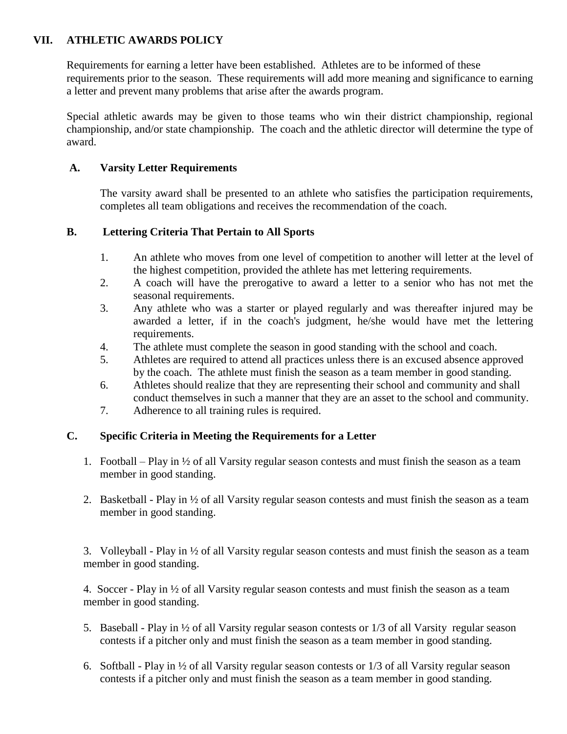# **VII. ATHLETIC AWARDS POLICY**

Requirements for earning a letter have been established. Athletes are to be informed of these requirements prior to the season. These requirements will add more meaning and significance to earning a letter and prevent many problems that arise after the awards program.

Special athletic awards may be given to those teams who win their district championship, regional championship, and/or state championship. The coach and the athletic director will determine the type of award.

#### **A. Varsity Letter Requirements**

The varsity award shall be presented to an athlete who satisfies the participation requirements, completes all team obligations and receives the recommendation of the coach.

# **B. Lettering Criteria That Pertain to All Sports**

- 1. An athlete who moves from one level of competition to another will letter at the level of the highest competition, provided the athlete has met lettering requirements.
- 2. A coach will have the prerogative to award a letter to a senior who has not met the seasonal requirements.
- 3. Any athlete who was a starter or played regularly and was thereafter injured may be awarded a letter, if in the coach's judgment, he/she would have met the lettering requirements.
- 4. The athlete must complete the season in good standing with the school and coach.
- 5. Athletes are required to attend all practices unless there is an excused absence approved by the coach. The athlete must finish the season as a team member in good standing.
- 6. Athletes should realize that they are representing their school and community and shall conduct themselves in such a manner that they are an asset to the school and community.
- 7. Adherence to all training rules is required.

# **C. Specific Criteria in Meeting the Requirements for a Letter**

- 1. Football Play in  $\frac{1}{2}$  of all Varsity regular season contests and must finish the season as a team member in good standing.
- 2. Basketball Play in ½ of all Varsity regular season contests and must finish the season as a team member in good standing.

3. Volleyball - Play in ½ of all Varsity regular season contests and must finish the season as a team member in good standing.

4. Soccer - Play in ½ of all Varsity regular season contests and must finish the season as a team member in good standing.

- 5. Baseball Play in  $\frac{1}{2}$  of all Varsity regular season contests or  $\frac{1}{3}$  of all Varsity regular season contests if a pitcher only and must finish the season as a team member in good standing.
- 6. Softball Play in ½ of all Varsity regular season contests or 1/3 of all Varsity regular season contests if a pitcher only and must finish the season as a team member in good standing.